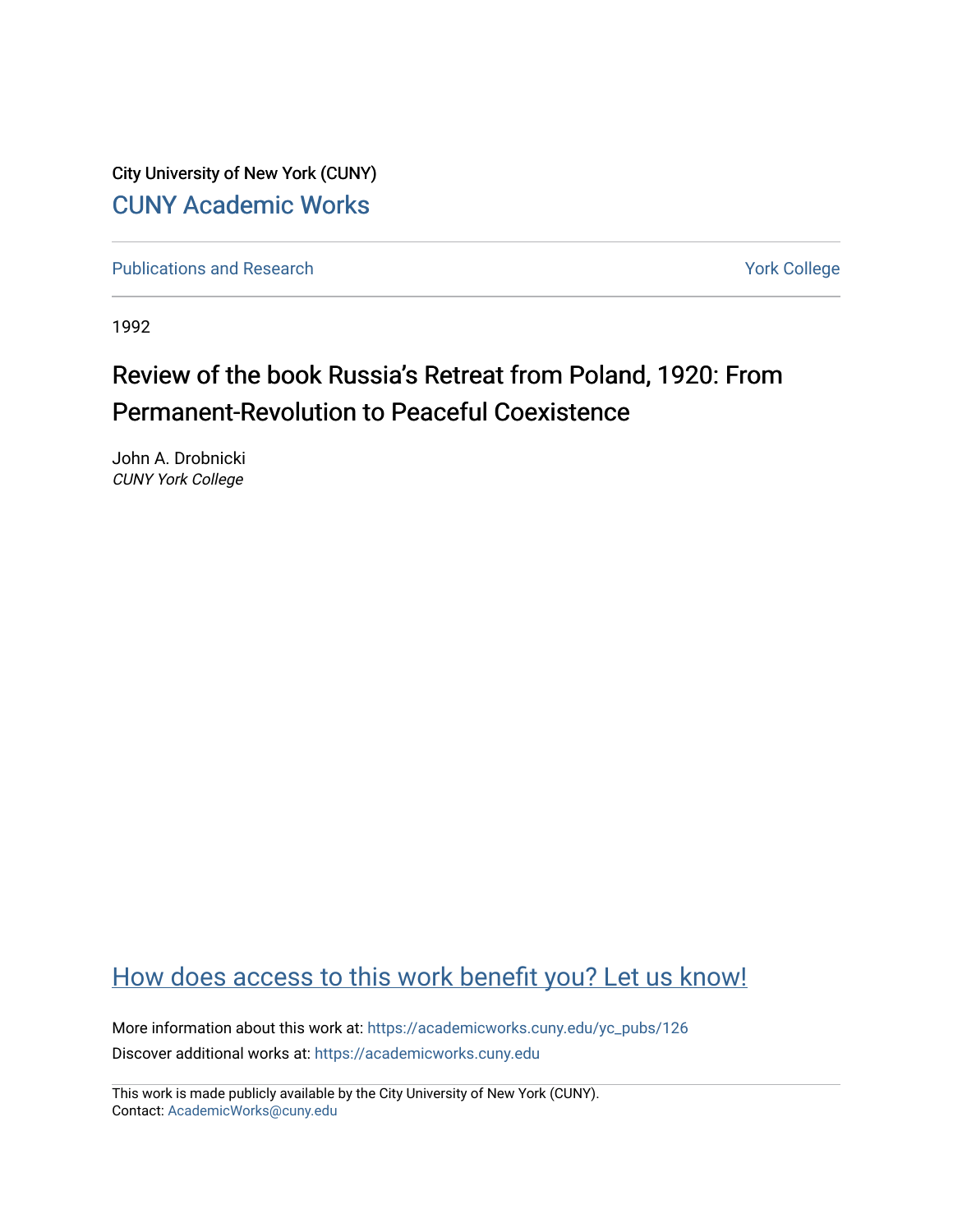City University of New York (CUNY) [CUNY Academic Works](https://academicworks.cuny.edu/) 

[Publications and Research](https://academicworks.cuny.edu/yc_pubs) Theorem 2012 Contract College Vork College

1992

## Review of the book Russia's Retreat from Poland, 1920: From Permanent-Revolution to Peaceful Coexistence

John A. Drobnicki CUNY York College

## [How does access to this work benefit you? Let us know!](http://ols.cuny.edu/academicworks/?ref=https://academicworks.cuny.edu/yc_pubs/126)

More information about this work at: [https://academicworks.cuny.edu/yc\\_pubs/126](https://academicworks.cuny.edu/yc_pubs/126) Discover additional works at: [https://academicworks.cuny.edu](https://academicworks.cuny.edu/?)

This work is made publicly available by the City University of New York (CUNY). Contact: [AcademicWorks@cuny.edu](mailto:AcademicWorks@cuny.edu)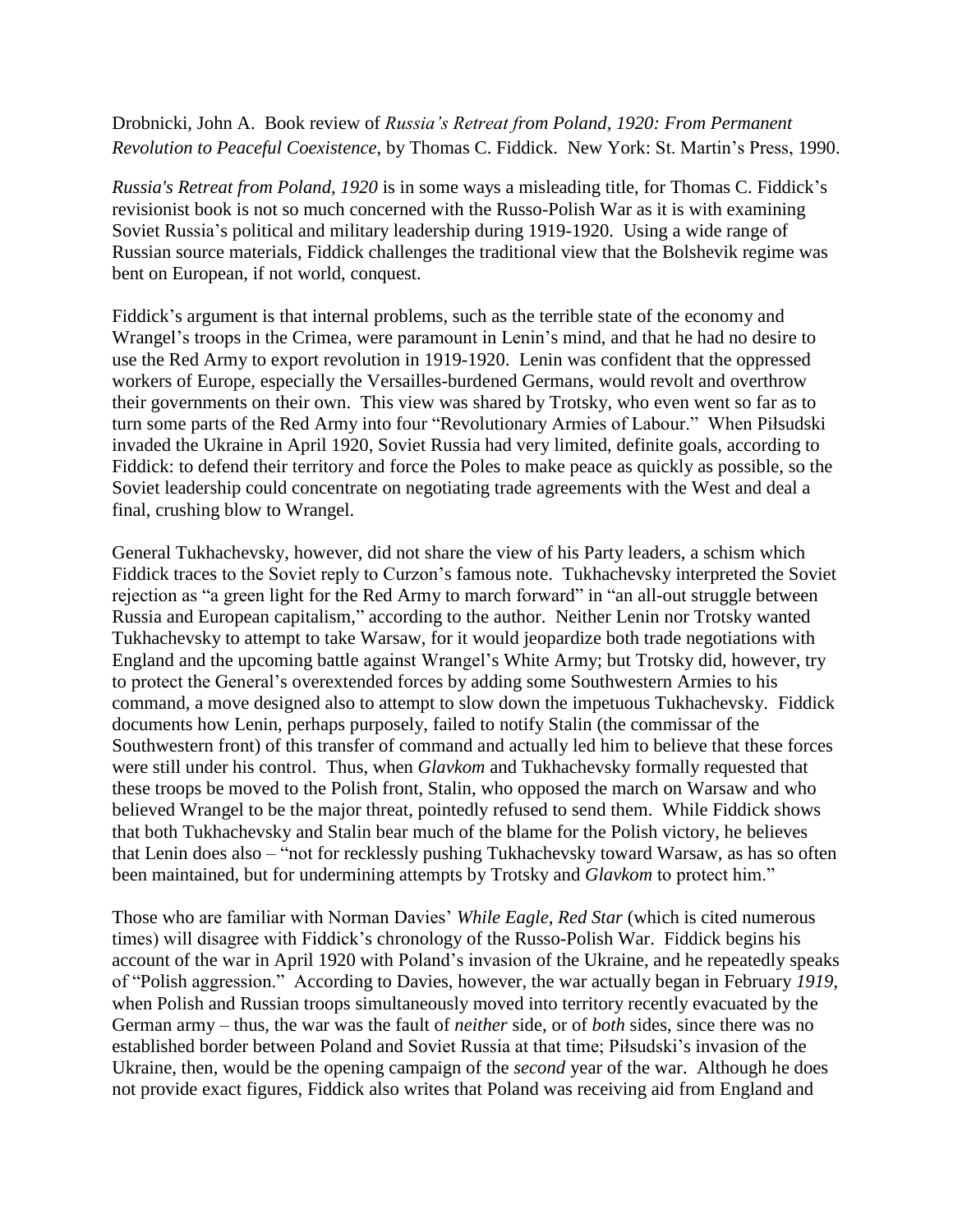Drobnicki, John A. Book review of *Russia's Retreat from Poland, 1920: From Permanent Revolution to Peaceful Coexistence*, by Thomas C. Fiddick. New York: St. Martin's Press, 1990.

*Russia's Retreat from Poland, 1920* is in some ways a misleading title, for Thomas C. Fiddick's revisionist book is not so much concerned with the Russo-Polish War as it is with examining Soviet Russia's political and military leadership during 1919-1920. Using a wide range of Russian source materials, Fiddick challenges the traditional view that the Bolshevik regime was bent on European, if not world, conquest.

Fiddick's argument is that internal problems, such as the terrible state of the economy and Wrangel's troops in the Crimea, were paramount in Lenin's mind, and that he had no desire to use the Red Army to export revolution in 1919-1920. Lenin was confident that the oppressed workers of Europe, especially the Versailles-burdened Germans, would revolt and overthrow their governments on their own. This view was shared by Trotsky, who even went so far as to turn some parts of the Red Army into four "Revolutionary Armies of Labour." When Piłsudski invaded the Ukraine in April 1920, Soviet Russia had very limited, definite goals, according to Fiddick: to defend their territory and force the Poles to make peace as quickly as possible, so the Soviet leadership could concentrate on negotiating trade agreements with the West and deal a final, crushing blow to Wrangel.

General Tukhachevsky, however, did not share the view of his Party leaders, a schism which Fiddick traces to the Soviet reply to Curzon's famous note. Tukhachevsky interpreted the Soviet rejection as "a green light for the Red Army to march forward" in "an all-out struggle between Russia and European capitalism," according to the author. Neither Lenin nor Trotsky wanted Tukhachevsky to attempt to take Warsaw, for it would jeopardize both trade negotiations with England and the upcoming battle against Wrangel's White Army; but Trotsky did, however, try to protect the General's overextended forces by adding some Southwestern Armies to his command, a move designed also to attempt to slow down the impetuous Tukhachevsky. Fiddick documents how Lenin, perhaps purposely, failed to notify Stalin (the commissar of the Southwestern front) of this transfer of command and actually led him to believe that these forces were still under his control. Thus, when *Glavkom* and Tukhachevsky formally requested that these troops be moved to the Polish front, Stalin, who opposed the march on Warsaw and who believed Wrangel to be the major threat, pointedly refused to send them. While Fiddick shows that both Tukhachevsky and Stalin bear much of the blame for the Polish victory, he believes that Lenin does also – "not for recklessly pushing Tukhachevsky toward Warsaw, as has so often been maintained, but for undermining attempts by Trotsky and *Glavkom* to protect him."

Those who are familiar with Norman Davies' *While Eagle, Red Star* (which is cited numerous times) will disagree with Fiddick's chronology of the Russo-Polish War. Fiddick begins his account of the war in April 1920 with Poland's invasion of the Ukraine, and he repeatedly speaks of "Polish aggression." According to Davies, however, the war actually began in February *1919*, when Polish and Russian troops simultaneously moved into territory recently evacuated by the German army – thus, the war was the fault of *neither* side, or of *both* sides, since there was no established border between Poland and Soviet Russia at that time; Piłsudski's invasion of the Ukraine, then, would be the opening campaign of the *second* year of the war. Although he does not provide exact figures, Fiddick also writes that Poland was receiving aid from England and